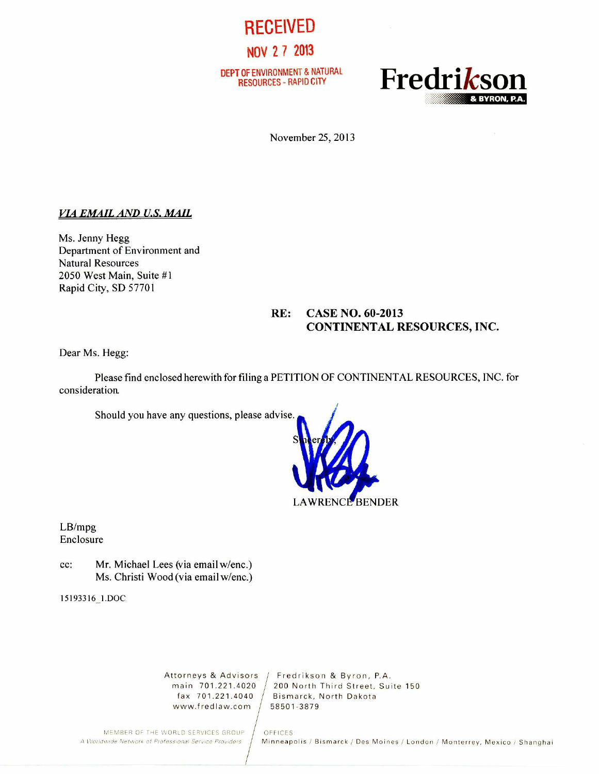

NOV 2 7 2013

DEPT OF ENVIRONMENT & NATURAL



November 25, 2013

### **VIA EMAIL AND U.S. MAIL**

Ms. Jenny Hegg Department of Environment and Natural Resources 2050 West Main, Suite #1 Rapid City, SD 57701

## **RE: CASE NO. 60-2013 CONTINENTAL RESOURCES, INC.**

Dear Ms. Hegg:

Please find enclosed herewith for filing a PETITION OF CONTINENTAL RESOURCES, INC. for consideration.

Should you have any questions, please advise.



LB/mpg Enclosure

cc: Mr. Michael Lees (via email w/enc.) Ms. Christi Wood (via email w/enc.)

15193316\_1.DOC

www.fredlaw.com / 58501-3879

Attorneys & Advisors / Fredrikson & Byron, P.A.<br>main 701.221.4020 / 200 North Third Street, Sui main  $701.221.4020 / 200$  North Third Street, Suite 150 fax  $701.221.4040 / 200$  Rismarck, North Dakota Bismarck, North Dakota

MEMBER OF THE WORLD SERVICES GROUP | OFFICES:<br>A Worldwide Network of Professional Service Providers | Minneapo

*Minneapolis / Bismarck / Des Moines / London / Monterrey, Mexico / Shanghai*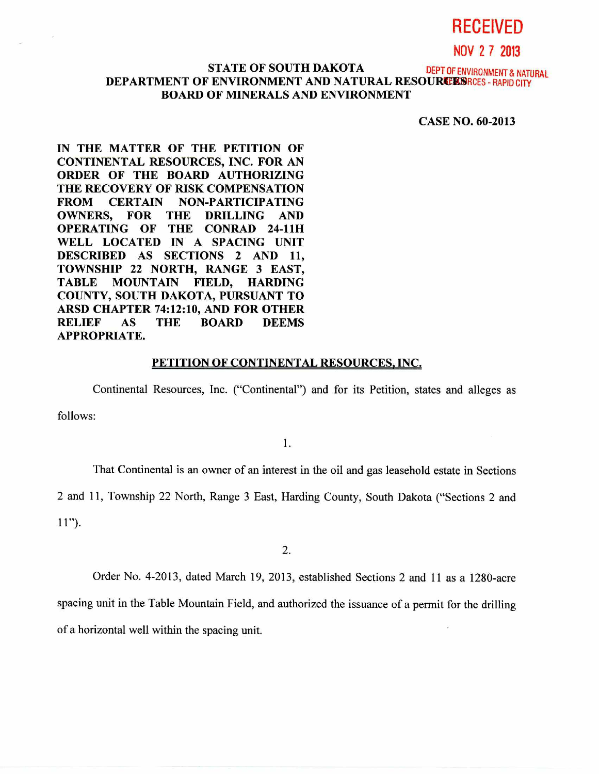# **RECEIVED**

NOV 2 7 **2013** 

## **STATE OF SOUTH DAKOTA** DEPT OF ENVIRONMENT & NATURAL **DEPARTMENT OF ENVIRONMENT AND NATURAL RESOURCES FRAPID CITY BOARD OF MINERALS AND ENVIRONMENT**

**CASE NO. 60-2013** 

**IN THE MATTER OF THE PETITION OF CONTINENTAL RESOURCES, INC. FOR AN ORDER OF THE BOARD AUTHORIZING THE RECOVERY OF RISK COMPENSATION FROM CERTAIN NON-PARTICIPATING OWNERS, FOR THE DRILLING AND OPERATING OF THE CONRAD 24-1111 WELL LOCATED IN A SPACING UNIT DESCRIBED AS SECTIONS 2 AND 11, TOWNSHIP 22 NORTH, RANGE 3 EAST, TABLE MOUNTAIN FIELD, HARDING COUNTY, SOUTH DAKOTA, PURSUANT TO ARSD CHAPTER 74:12:10, AND FOR OTHER RELIEF AS THE BOARD DEEMS APPROPRIATE.** 

#### **PETITION OF CONTINENTAL RESOURCES, INC.**

Continental Resources, Inc. ("Continental") and for its Petition, states and alleges as

follows:

1.

That Continental is an owner of an interest in the oil and gas leasehold estate in Sections

2 and 11, Township 22 North, Range 3 East, Harding County, South Dakota ("Sections 2 and

11").

2.

Order No. 4-2013, dated March 19, 2013, established Sections 2 and 11 as a 1280-acre spacing unit in the Table Mountain Field, and authorized the issuance of a permit for the drilling of a horizontal well within the spacing unit.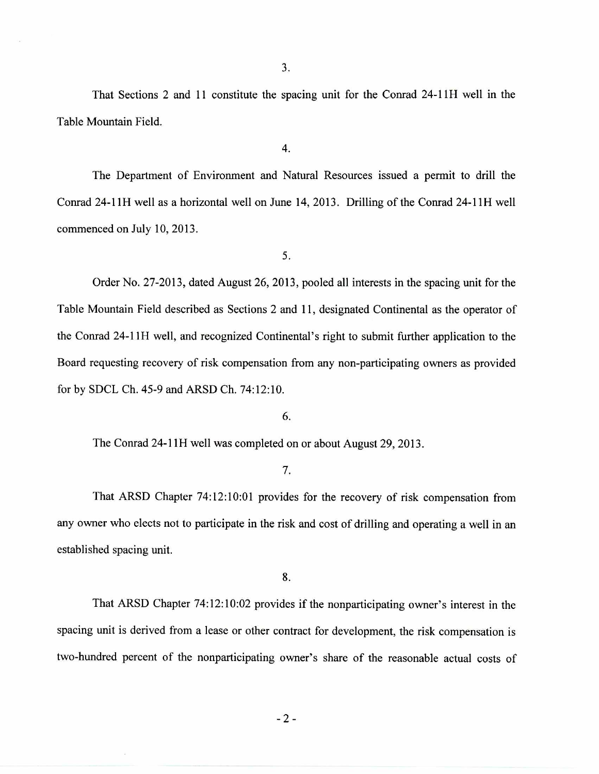That Sections 2 and 11 constitute the spacing unit for the Conrad 24-11H well in the Table Mountain Field.

4.

The Department of Environment and Natural Resources issued a permit to drill the Conrad 24-11H well as a horizontal well on June 14, 2013. Drilling of the Conrad 24-11H well commenced on July 10, 2013.

5.

Order No. 27-2013, dated August 26, 2013, pooled all interests in the spacing unit for the Table Mountain Field described as Sections 2 and 11, designated Continental as the operator of the Conrad 24-11H well, and recognized Continental's right to submit further application to the Board requesting recovery of risk compensation from any non-participating owners as provided for by SDCL Ch. 45-9 and ARSD Ch. 74:12:10.

## 6.

The Conrad 24-11H well was completed on or about August 29, 2013.

## 7.

That ARSD Chapter 74:12:10:01 provides for the recovery of risk compensation from any owner who elects not to participate in the risk and cost of drilling and operating a well in an established spacing unit.

8.

That ARSD Chapter 74:12:10:02 provides if the nonparticipating owner's interest in the spacing unit is derived from a lease or other contract for development, the risk compensation is two-hundred percent of the nonparticipating owner's share of the reasonable actual costs of

 $-2-$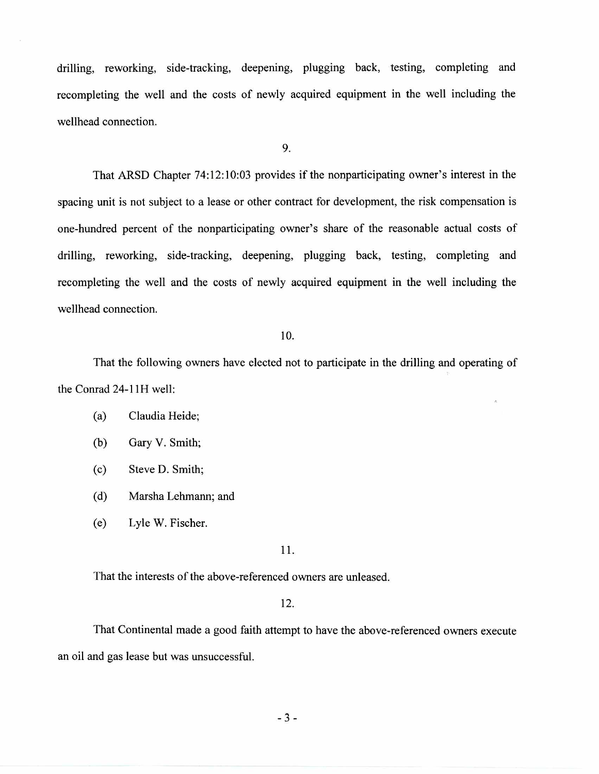drilling, reworking, side-tracking, deepening, plugging back, testing, completing and recompleting the well and the costs of newly acquired equipment in the well including the wellhead connection.

9.

That ARSD Chapter 74:12:10:03 provides if the nonparticipating owner's interest in the spacing unit is not subject to a lease or other contract for development, the risk compensation is one-hundred percent of the nonparticipating owner's share of the reasonable actual costs of drilling, reworking, side-tracking, deepening, plugging back, testing, completing and recompleting the well and the costs of newly acquired equipment in the well including the wellhead connection.

## 10.

That the following owners have elected not to participate in the drilling and operating of the Conrad 24-11H well:

- (a) Claudia Heide;
- (b) Gary V. Smith;
- (c) Steve D. Smith;
- (d) Marsha Lehmann; and
- (e) Lyle W. Fischer.

### 11.

That the interests of the above-referenced owners are unleased.

#### 12.

That Continental made a good faith attempt to have the above-referenced owners execute an oil and gas lease but was unsuccessful.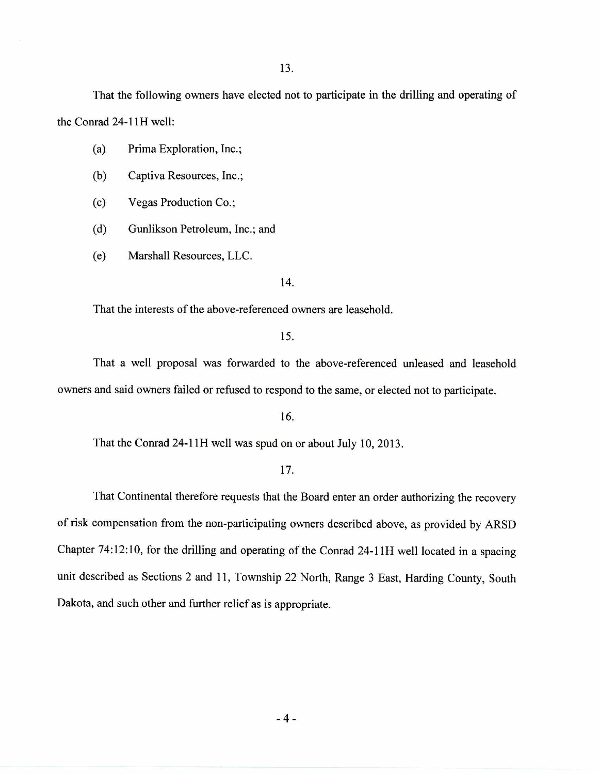That the following owners have elected not to participate in the drilling and operating of the Conrad 24-11H well:

(a) Prima Exploration, Inc.;

(b) Captiva Resources, Inc.;

(c) Vegas Production Co.;

(d) Gunlikson Petroleum, Inc.; and

(e) Marshall Resources, LLC.

14.

That the interests of the above-referenced owners are leasehold.

15.

That a well proposal was forwarded to the above-referenced unleased and leasehold owners and said owners failed or refused to respond to the same, or elected not to participate.

16.

That the Conrad 24-11H well was spud on or about July 10, 2013.

#### 17.

That Continental therefore requests that the Board enter an order authorizing the recovery of risk compensation from the non-participating owners described above, as provided by ARSD Chapter 74:12:10, for the drilling and operating of the Conrad 24-11H well located in a spacing unit described as Sections 2 and 11, Township 22 North, Range 3 East, Harding County, South Dakota, and such other and further relief as is appropriate.